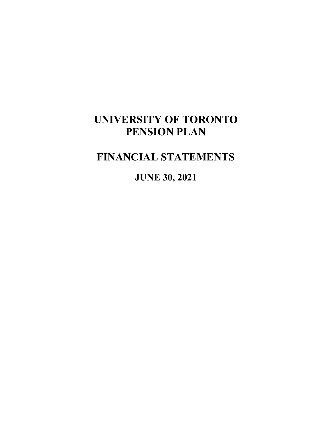# **FINANCIAL STATEMENTS**

**JUNE 30, 2021**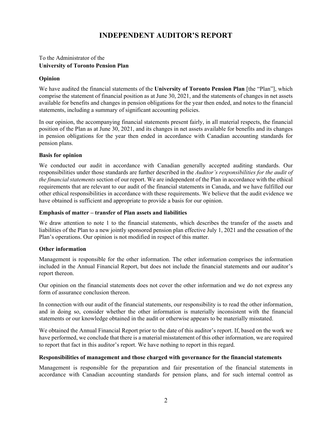# **INDEPENDENT AUDITOR'S REPORT**

# To the Administrator of the **University of Toronto Pension Plan**

#### **Opinion**

We have audited the financial statements of the **University of Toronto Pension Plan** [the "Plan"], which comprise the statement of financial position as at June 30, 2021, and the statements of changes in net assets available for benefits and changes in pension obligations for the year then ended, and notes to the financial statements, including a summary of significant accounting policies.

In our opinion, the accompanying financial statements present fairly, in all material respects, the financial position of the Plan as at June 30, 2021, and its changes in net assets available for benefits and its changes in pension obligations for the year then ended in accordance with Canadian accounting standards for pension plans.

#### **Basis for opinion**

We conducted our audit in accordance with Canadian generally accepted auditing standards. Our responsibilities under those standards are further described in the *Auditor's responsibilities for the audit of the financial statements* section of our report. We are independent of the Plan in accordance with the ethical requirements that are relevant to our audit of the financial statements in Canada, and we have fulfilled our other ethical responsibilities in accordance with these requirements. We believe that the audit evidence we have obtained is sufficient and appropriate to provide a basis for our opinion.

#### **Emphasis of matter – transfer of Plan assets and liabilities**

We draw attention to note 1 to the financial statements, which describes the transfer of the assets and liabilities of the Plan to a new jointly sponsored pension plan effective July 1, 2021 and the cessation of the Plan's operations. Our opinion is not modified in respect of this matter.

#### **Other information**

Management is responsible for the other information. The other information comprises the information included in the Annual Financial Report, but does not include the financial statements and our auditor's report thereon.

Our opinion on the financial statements does not cover the other information and we do not express any form of assurance conclusion thereon.

In connection with our audit of the financial statements, our responsibility is to read the other information, and in doing so, consider whether the other information is materially inconsistent with the financial statements or our knowledge obtained in the audit or otherwise appears to be materially misstated.

We obtained the Annual Financial Report prior to the date of this auditor's report. If, based on the work we have performed, we conclude that there is a material misstatement of this other information, we are required to report that fact in this auditor's report. We have nothing to report in this regard.

#### **Responsibilities of management and those charged with governance for the financial statements**

Management is responsible for the preparation and fair presentation of the financial statements in accordance with Canadian accounting standards for pension plans, and for such internal control as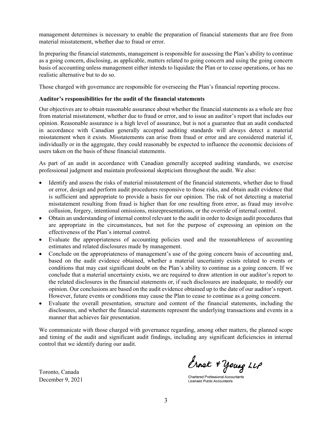management determines is necessary to enable the preparation of financial statements that are free from material misstatement, whether due to fraud or error.

In preparing the financial statements, management is responsible for assessing the Plan's ability to continue as a going concern, disclosing, as applicable, matters related to going concern and using the going concern basis of accounting unless management either intends to liquidate the Plan or to cease operations, or has no realistic alternative but to do so.

Those charged with governance are responsible for overseeing the Plan's financial reporting process.

## **Auditor's responsibilities for the audit of the financial statements**

Our objectives are to obtain reasonable assurance about whether the financial statements as a whole are free from material misstatement, whether due to fraud or error, and to issue an auditor's report that includes our opinion. Reasonable assurance is a high level of assurance, but is not a guarantee that an audit conducted in accordance with Canadian generally accepted auditing standards will always detect a material misstatement when it exists. Misstatements can arise from fraud or error and are considered material if, individually or in the aggregate, they could reasonably be expected to influence the economic decisions of users taken on the basis of these financial statements.

As part of an audit in accordance with Canadian generally accepted auditing standards, we exercise professional judgment and maintain professional skepticism throughout the audit. We also:

- Identify and assess the risks of material misstatement of the financial statements, whether due to fraud or error, design and perform audit procedures responsive to those risks, and obtain audit evidence that is sufficient and appropriate to provide a basis for our opinion. The risk of not detecting a material misstatement resulting from fraud is higher than for one resulting from error, as fraud may involve collusion, forgery, intentional omissions, misrepresentations, or the override of internal control.
- Obtain an understanding of internal control relevant to the audit in order to design audit procedures that are appropriate in the circumstances, but not for the purpose of expressing an opinion on the effectiveness of the Plan's internal control.
- Evaluate the appropriateness of accounting policies used and the reasonableness of accounting estimates and related disclosures made by management.
- Conclude on the appropriateness of management's use of the going concern basis of accounting and, based on the audit evidence obtained, whether a material uncertainty exists related to events or conditions that may cast significant doubt on the Plan's ability to continue as a going concern. If we conclude that a material uncertainty exists, we are required to draw attention in our auditor's report to the related disclosures in the financial statements or, if such disclosures are inadequate, to modify our opinion. Our conclusions are based on the audit evidence obtained up to the date of our auditor's report. However, future events or conditions may cause the Plan to cease to continue as a going concern.
- Evaluate the overall presentation, structure and content of the financial statements, including the disclosures, and whether the financial statements represent the underlying transactions and events in a manner that achieves fair presentation.

We communicate with those charged with governance regarding, among other matters, the planned scope and timing of the audit and significant audit findings, including any significant deficiencies in internal control that we identify during our audit.

Toronto, Canada December 9, 2021

Ernst + Young LLP

**Chartered Professional Accountants Licensed Public Accountants**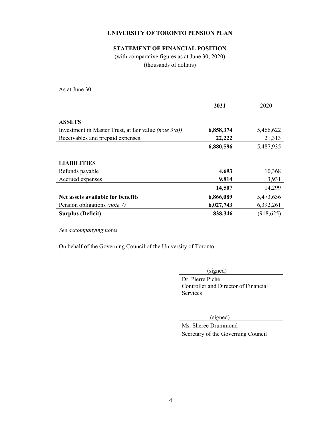# **STATEMENT OF FINANCIAL POSITION**

(with comparative figures as at June 30, 2020) (thousands of dollars)

As at June 30

|                                                                 | 2021      | 2020       |
|-----------------------------------------------------------------|-----------|------------|
| <b>ASSETS</b>                                                   |           |            |
| Investment in Master Trust, at fair value <i>(note</i> $3(a)$ ) | 6,858,374 | 5,466,622  |
| Receivables and prepaid expenses                                | 22,222    | 21,313     |
|                                                                 | 6,880,596 | 5,487,935  |
|                                                                 |           |            |
| <b>LIABILITIES</b>                                              |           |            |
| Refunds payable                                                 | 4,693     | 10,368     |
| Accrued expenses                                                | 9,814     | 3,931      |
|                                                                 | 14,507    | 14,299     |
| Net assets available for benefits                               | 6,866,089 | 5,473,636  |
| Pension obligations (note 7)                                    | 6,027,743 | 6,392,261  |
| <b>Surplus (Deficit)</b>                                        | 838,346   | (918, 625) |

*See accompanying notes* 

On behalf of the Governing Council of the University of Toronto:

(signed)

 Dr. Pierre Piché Controller and Director of Financial Services

(signed)

 Ms. Sheree Drummond Secretary of the Governing Council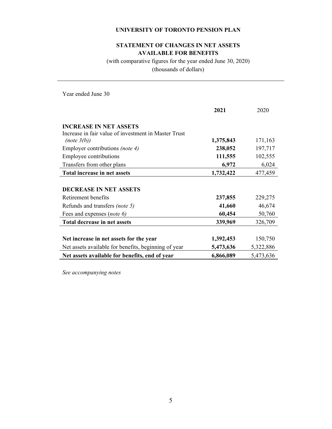# **STATEMENT OF CHANGES IN NET ASSETS AVAILABLE FOR BENEFITS**

(with comparative figures for the year ended June 30, 2020) (thousands of dollars)

Year ended June 30

|                                                      | 2021      | 2020      |
|------------------------------------------------------|-----------|-----------|
| <b>INCREASE IN NET ASSETS</b>                        |           |           |
| Increase in fair value of investment in Master Trust |           |           |
| (note 3(b))                                          | 1,375,843 | 171,163   |
| Employer contributions <i>(note 4)</i>               | 238,052   | 197,717   |
| Employee contributions                               | 111,555   | 102,555   |
| Transfers from other plans                           | 6,972     | 6,024     |
| Total increase in net assets                         | 1,732,422 | 477,459   |
|                                                      |           |           |
| <b>DECREASE IN NET ASSETS</b>                        |           |           |
| Retirement benefits                                  | 237,855   | 229,275   |
| Refunds and transfers <i>(note 5)</i>                | 41,660    | 46,674    |
| Fees and expenses (note 6)                           | 60,454    | 50,760    |
| Total decrease in net assets                         | 339,969   | 326,709   |
|                                                      |           |           |
| Net increase in net assets for the year              | 1,392,453 | 150,750   |
| Net assets available for benefits, beginning of year | 5,473,636 | 5,322,886 |
| Net assets available for benefits, end of year       | 6,866,089 | 5,473,636 |

*See accompanying notes*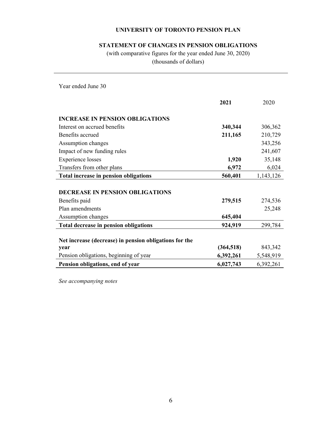# **STATEMENT OF CHANGES IN PENSION OBLIGATIONS**

(with comparative figures for the year ended June 30, 2020) (thousands of dollars)

Year ended June 30

|                                                        | 2021       | 2020      |
|--------------------------------------------------------|------------|-----------|
| <b>INCREASE IN PENSION OBLIGATIONS</b>                 |            |           |
| Interest on accrued benefits                           | 340,344    | 306,362   |
| Benefits accrued                                       | 211,165    | 210,729   |
| Assumption changes                                     |            | 343,256   |
| Impact of new funding rules                            |            | 241,607   |
| <b>Experience losses</b>                               | 1,920      | 35,148    |
| Transfers from other plans                             | 6,972      | 6,024     |
| <b>Total increase in pension obligations</b>           | 560,401    | 1,143,126 |
| <b>DECREASE IN PENSION OBLIGATIONS</b>                 |            |           |
| Benefits paid                                          | 279,515    | 274,536   |
| Plan amendments                                        |            | 25,248    |
| Assumption changes                                     | 645,404    |           |
| <b>Total decrease in pension obligations</b>           | 924,919    | 299,784   |
| Net increase (decrease) in pension obligations for the |            |           |
| year                                                   | (364, 518) | 843,342   |
| Pension obligations, beginning of year                 | 6,392,261  | 5,548,919 |
| Pension obligations, end of year                       | 6,027,743  | 6,392,261 |

*See accompanying notes*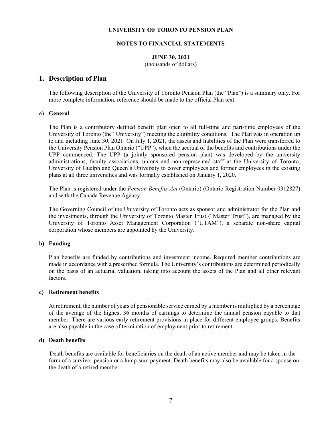#### **NOTES TO FINANCIAL STATEMENTS**

# **JUNE 30, 2021**

(thousands of dollars)

# **1. Description of Plan**

The following description of the University of Toronto Pension Plan (the "Plan") is a summary only. For more complete information, reference should be made to the official Plan text.

#### **a) General**

The Plan is a contributory defined benefit plan open to all full-time and part-time employees of the University of Toronto (the "University") meeting the eligibility conditions. The Plan was in operation up to and including June 30, 2021. On July 1, 2021, the assets and liabilities of the Plan were transferred to the University Pension Plan Ontario ("UPP"), when the accrual of the benefits and contributions under the UPP commenced. The UPP (a jointly sponsored pension plan) was developed by the university administrations, faculty associations, unions and non-represented staff at the University of Toronto, University of Guelph and Queen's University to cover employees and former employees in the existing plans at all three universities and was formally established on January 1, 2020.

 The Plan is registered under the *Pension Benefits Act* (Ontario) (Ontario Registration Number 0312827) and with the Canada Revenue Agency.

 The Governing Council of the University of Toronto acts as sponsor and administrator for the Plan and the investments, through the University of Toronto Master Trust ("Master Trust"), are managed by the University of Toronto Asset Management Corporation ("UTAM"), a separate non-share capital corporation whose members are appointed by the University.

#### **b) Funding**

Plan benefits are funded by contributions and investment income. Required member contributions are made in accordance with a prescribed formula. The University's contributions are determined periodically on the basis of an actuarial valuation, taking into account the assets of the Plan and all other relevant factors.

#### **c) Retirement benefits**

At retirement, the number of years of pensionable service earned by a member is multiplied by a percentage of the average of the highest 36 months of earnings to determine the annual pension payable to that member. There are various early retirement provisions in place for different employee groups. Benefits are also payable in the case of termination of employment prior to retirement.

#### **d) Death benefits**

 Death benefits are available for beneficiaries on the death of an active member and may be taken in the form of a survivor pension or a lump-sum payment. Death benefits may also be available for a spouse on the death of a retired member.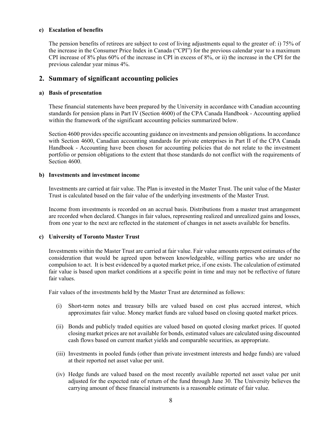#### **e) Escalation of benefits**

The pension benefits of retirees are subject to cost of living adjustments equal to the greater of: i) 75% of the increase in the Consumer Price Index in Canada ("CPI") for the previous calendar year to a maximum CPI increase of 8% plus 60% of the increase in CPI in excess of 8%, or ii) the increase in the CPI for the previous calendar year minus 4%.

# **2. Summary of significant accounting policies**

#### **a) Basis of presentation**

These financial statements have been prepared by the University in accordance with Canadian accounting standards for pension plans in Part IV (Section 4600) of the CPA Canada Handbook - Accounting applied within the framework of the significant accounting policies summarized below.

Section 4600 provides specific accounting guidance on investments and pension obligations. In accordance with Section 4600, Canadian accounting standards for private enterprises in Part II of the CPA Canada Handbook - Accounting have been chosen for accounting policies that do not relate to the investment portfolio or pension obligations to the extent that those standards do not conflict with the requirements of Section 4600.

#### **b) Investments and investment income**

Investments are carried at fair value. The Plan is invested in the Master Trust. The unit value of the Master Trust is calculated based on the fair value of the underlying investments of the Master Trust.

Income from investments is recorded on an accrual basis. Distributions from a master trust arrangement are recorded when declared. Changes in fair values, representing realized and unrealized gains and losses, from one year to the next are reflected in the statement of changes in net assets available for benefits.

#### **c) University of Toronto Master Trust**

Investments within the Master Trust are carried at fair value. Fair value amounts represent estimates of the consideration that would be agreed upon between knowledgeable, willing parties who are under no compulsion to act. It is best evidenced by a quoted market price, if one exists. The calculation of estimated fair value is based upon market conditions at a specific point in time and may not be reflective of future fair values.

Fair values of the investments held by the Master Trust are determined as follows:

- (i) Short-term notes and treasury bills are valued based on cost plus accrued interest, which approximates fair value. Money market funds are valued based on closing quoted market prices.
- (ii) Bonds and publicly traded equities are valued based on quoted closing market prices. If quoted closing market prices are not available for bonds, estimated values are calculated using discounted cash flows based on current market yields and comparable securities, as appropriate.
- (iii) Investments in pooled funds (other than private investment interests and hedge funds) are valued at their reported net asset value per unit.
- (iv) Hedge funds are valued based on the most recently available reported net asset value per unit adjusted for the expected rate of return of the fund through June 30. The University believes the carrying amount of these financial instruments is a reasonable estimate of fair value.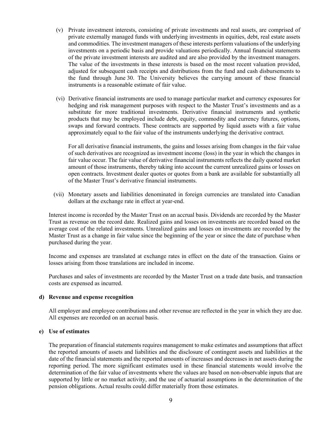- (v) Private investment interests, consisting of private investments and real assets, are comprised of private externally managed funds with underlying investments in equities, debt, real estate assets and commodities. The investment managers of these interests perform valuations of the underlying investments on a periodic basis and provide valuations periodically. Annual financial statements of the private investment interests are audited and are also provided by the investment managers. The value of the investments in these interests is based on the most recent valuation provided, adjusted for subsequent cash receipts and distributions from the fund and cash disbursements to the fund through June 30. The University believes the carrying amount of these financial instruments is a reasonable estimate of fair value.
- (vi) Derivative financial instruments are used to manage particular market and currency exposures for hedging and risk management purposes with respect to the Master Trust's investments and as a substitute for more traditional investments. Derivative financial instruments and synthetic products that may be employed include debt, equity, commodity and currency futures, options, swaps and forward contracts. These contracts are supported by liquid assets with a fair value approximately equal to the fair value of the instruments underlying the derivative contract.

 For all derivative financial instruments, the gains and losses arising from changes in the fair value of such derivatives are recognized as investment income (loss) in the year in which the changes in fair value occur. The fair value of derivative financial instruments reflects the daily quoted market amount of those instruments, thereby taking into account the current unrealized gains or losses on open contracts. Investment dealer quotes or quotes from a bank are available for substantially all of the Master Trust's derivative financial instruments.

(vii) Monetary assets and liabilities denominated in foreign currencies are translated into Canadian dollars at the exchange rate in effect at year-end.

Interest income is recorded by the Master Trust on an accrual basis. Dividends are recorded by the Master Trust as revenue on the record date. Realized gains and losses on investments are recorded based on the average cost of the related investments. Unrealized gains and losses on investments are recorded by the Master Trust as a change in fair value since the beginning of the year or since the date of purchase when purchased during the year.

Income and expenses are translated at exchange rates in effect on the date of the transaction. Gains or losses arising from those translations are included in income.

Purchases and sales of investments are recorded by the Master Trust on a trade date basis, and transaction costs are expensed as incurred.

#### **d) Revenue and expense recognition**

All employer and employee contributions and other revenue are reflected in the year in which they are due. All expenses are recorded on an accrual basis.

#### **e) Use of estimates**

The preparation of financial statements requires management to make estimates and assumptions that affect the reported amounts of assets and liabilities and the disclosure of contingent assets and liabilities at the date of the financial statements and the reported amounts of increases and decreases in net assets during the reporting period. The more significant estimates used in these financial statements would involve the determination of the fair value of investments where the values are based on non-observable inputs that are supported by little or no market activity, and the use of actuarial assumptions in the determination of the pension obligations. Actual results could differ materially from those estimates.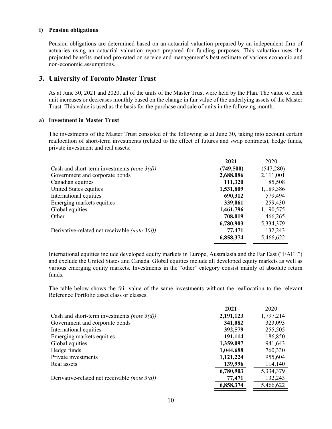#### **f) Pension obligations**

Pension obligations are determined based on an actuarial valuation prepared by an independent firm of actuaries using an actuarial valuation report prepared for funding purposes. This valuation uses the projected benefits method pro-rated on service and management's best estimate of various economic and non-economic assumptions.

# **3. University of Toronto Master Trust**

As at June 30, 2021 and 2020, all of the units of the Master Trust were held by the Plan. The value of each unit increases or decreases monthly based on the change in fair value of the underlying assets of the Master Trust. This value is used as the basis for the purchase and sale of units in the following month.

#### **a) Investment in Master Trust**

The investments of the Master Trust consisted of the following as at June 30, taking into account certain reallocation of short-term investments (related to the effect of futures and swap contracts), hedge funds, private investment and real assets:

|                                                         | 2021      | 2020       |
|---------------------------------------------------------|-----------|------------|
| Cash and short-term investments <i>(note</i> $3(d)$ )   | (749,500) | (547, 280) |
| Government and corporate bonds                          | 2,688,086 | 2,111,001  |
| Canadian equities                                       | 111,320   | 85,508     |
| United States equities                                  | 1,531,809 | 1,189,386  |
| International equities                                  | 690,312   | 579,494    |
| Emerging markets equities                               | 339,061   | 259,430    |
| Global equities                                         | 1,461,796 | 1,190,575  |
| Other                                                   | 708,019   | 466,265    |
|                                                         | 6,780,903 | 5,334,379  |
| Derivative-related net receivable <i>(note</i> $3(d)$ ) | 77,471    | 132,243    |
|                                                         | 6,858,374 | 5,466,622  |

International equities include developed equity markets in Europe, Australasia and the Far East ("EAFE") and exclude the United States and Canada. Global equities include all developed equity markets as well as various emerging equity markets. Investments in the "other" category consist mainly of absolute return funds.

The table below shows the fair value of the same investments without the reallocation to the relevant Reference Portfolio asset class or classes.

|                                                         | 2021      | 2020      |
|---------------------------------------------------------|-----------|-----------|
| Cash and short-term investments <i>(note 3(d))</i>      | 2,191,123 | 1,797,214 |
| Government and corporate bonds                          | 341,082   | 323,093   |
| International equities                                  | 392,579   | 255,505   |
| Emerging markets equities                               | 191,114   | 186,850   |
| Global equities                                         | 1,359,097 | 941,643   |
| Hedge funds                                             | 1,044,688 | 760,330   |
| Private investments                                     | 1,121,224 | 955,604   |
| Real assets                                             | 139,996   | 114,140   |
|                                                         | 6,780,903 | 5,334,379 |
| Derivative-related net receivable <i>(note</i> $3(d)$ ) | 77,471    | 132,243   |
|                                                         | 6,858,374 | 5,466,622 |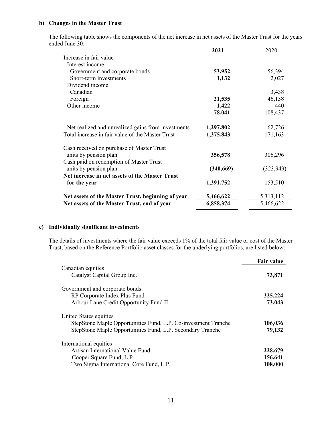#### **b) Changes in the Master Trust**

The following table shows the components of the net increase in net assets of the Master Trust for the years ended June 30:

|                                                                  | 2021      | 2020       |
|------------------------------------------------------------------|-----------|------------|
| Increase in fair value                                           |           |            |
| Interest income                                                  |           |            |
| Government and corporate bonds                                   | 53,952    | 56,394     |
| Short-term investments                                           | 1,132     | 2,027      |
| Dividend income                                                  |           |            |
| Canadian                                                         |           | 3,438      |
| Foreign                                                          | 21,535    | 46,138     |
| Other income                                                     | 1,422     | 440        |
|                                                                  | 78,041    | 108,437    |
| Net realized and unrealized gains from investments               | 1,297,802 | 62,726     |
| Total increase in fair value of the Master Trust                 | 1,375,843 | 171,163    |
| Cash received on purchase of Master Trust                        |           |            |
| units by pension plan                                            | 356,578   | 306,296    |
| Cash paid on redemption of Master Trust<br>units by pension plan | (340,669) | (323, 949) |
| Net increase in net assets of the Master Trust                   |           |            |
| for the year                                                     | 1,391,752 | 153,510    |
| Net assets of the Master Trust, beginning of year                | 5,466,622 | 5,313,112  |
| Net assets of the Master Trust, end of year                      | 6,858,374 | 5,466,622  |

# **c) Individually significant investments**

The details of investments where the fair value exceeds 1% of the total fair value or cost of the Master Trust, based on the Reference Portfolio asset classes for the underlying portfolios, are listed below:

|                                                                | <b>Fair value</b> |
|----------------------------------------------------------------|-------------------|
| Canadian equities                                              |                   |
| Catalyst Capital Group Inc.                                    | 73,871            |
| Government and corporate bonds                                 |                   |
| RP Corporate Index Plus Fund                                   | 325,224           |
| Arbour Lane Credit Opportunity Fund II                         | 73,043            |
| United States equities                                         |                   |
| StepStone Maple Opportunities Fund, L.P. Co-investment Tranche | 106,036           |
| StepStone Maple Opportunities Fund, L.P. Secondary Tranche     | 79,132            |
| International equities                                         |                   |
| Artisan International Value Fund                               | 228,679           |
| Cooper Square Fund, L.P.                                       | 156,641           |
| Two Sigma International Core Fund, L.P.                        | 108,000           |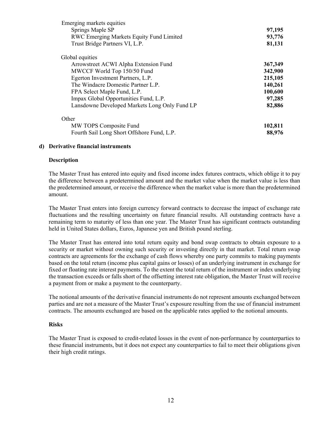| Emerging markets equities                     |         |
|-----------------------------------------------|---------|
| Springs Maple SP                              | 97,195  |
| RWC Emerging Markets Equity Fund Limited      | 93,776  |
| Trust Bridge Partners VI, L.P.                | 81,131  |
| Global equities                               |         |
| Arrowstreet ACWI Alpha Extension Fund         | 367,349 |
| MWCCF World Top 150/50 Fund                   | 342,900 |
| Egerton Investment Partners, L.P.             | 215,105 |
| The Windacre Domestic Partner L.P.            | 140,261 |
| FPA Select Maple Fund, L.P.                   | 100,600 |
| Impax Global Opportunities Fund, L.P.         | 97,285  |
| Lansdowne Developed Markets Long Only Fund LP | 82,886  |
| Other                                         |         |
| MW TOPS Composite Fund                        | 102,811 |
| Fourth Sail Long Short Offshore Fund, L.P.    | 88,976  |

#### **d) Derivative financial instruments**

#### **Description**

The Master Trust has entered into equity and fixed income index futures contracts, which oblige it to pay the difference between a predetermined amount and the market value when the market value is less than the predetermined amount, or receive the difference when the market value is more than the predetermined amount.

The Master Trust enters into foreign currency forward contracts to decrease the impact of exchange rate fluctuations and the resulting uncertainty on future financial results. All outstanding contracts have a remaining term to maturity of less than one year. The Master Trust has significant contracts outstanding held in United States dollars, Euros, Japanese yen and British pound sterling.

The Master Trust has entered into total return equity and bond swap contracts to obtain exposure to a security or market without owning such security or investing directly in that market. Total return swap contracts are agreements for the exchange of cash flows whereby one party commits to making payments based on the total return (income plus capital gains or losses) of an underlying instrument in exchange for fixed or floating rate interest payments. To the extent the total return of the instrument or index underlying the transaction exceeds or falls short of the offsetting interest rate obligation, the Master Trust will receive a payment from or make a payment to the counterparty.

The notional amounts of the derivative financial instruments do not represent amounts exchanged between parties and are not a measure of the Master Trust's exposure resulting from the use of financial instrument contracts. The amounts exchanged are based on the applicable rates applied to the notional amounts.

#### **Risks**

The Master Trust is exposed to credit-related losses in the event of non-performance by counterparties to these financial instruments, but it does not expect any counterparties to fail to meet their obligations given their high credit ratings.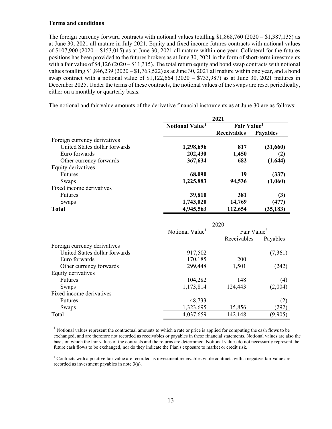#### **Terms and conditions**

The foreign currency forward contracts with notional values totalling \$1,868,760 (2020 – \$1,387,135) as at June 30, 2021 all mature in July 2021. Equity and fixed income futures contracts with notional values of  $$107,900 (2020 - $153,015)$  as at June 30, 2021 all mature within one year. Collateral for the futures positions has been provided to the futures brokers as at June 30, 2021 in the form of short-term investments with a fair value of  $$4,126 (2020 - $11,315)$ . The total return equity and bond swap contracts with notional values totalling  $$1,846,239$  (2020 –  $$1,763,522$ ) as at June 30, 2021 all mature within one year, and a bond swap contract with a notional value of  $$1,122,664$  (2020 –  $$733,987$ ) as at June 30, 2021 matures in December 2025. Under the terms of these contracts, the notional values of the swaps are reset periodically, either on a monthly or quarterly basis.

The notional and fair value amounts of the derivative financial instruments as at June 30 are as follows:

|                               | 2021                        |                         |                 |
|-------------------------------|-----------------------------|-------------------------|-----------------|
|                               | Notional Value <sup>1</sup> | Fair Value <sup>2</sup> |                 |
|                               |                             | <b>Receivables</b>      | <b>Payables</b> |
| Foreign currency derivatives  |                             |                         |                 |
| United States dollar forwards | 1,298,696                   | 817                     | (31,660)        |
| Euro forwards                 | 202,430                     | 1,450                   | (2)             |
| Other currency forwards       | 367,634                     | 682                     | (1,644)         |
| Equity derivatives            |                             |                         |                 |
| <b>Futures</b>                | 68,090                      | 19                      | (337)           |
| Swaps                         | 1,225,883                   | 94,536                  | (1,060)         |
| Fixed income derivatives      |                             |                         |                 |
| <b>Futures</b>                | 39,810                      | 381                     | (3)             |
| Swaps                         | 1,743,020                   | 14,769                  | (477)           |
| <b>Total</b>                  | 4,945,563                   | 112,654                 | (35, 183)       |

|                               |                             | 2020                    |          |
|-------------------------------|-----------------------------|-------------------------|----------|
|                               | Notional Value <sup>1</sup> | Fair Value <sup>2</sup> |          |
|                               |                             | Receivables             | Payables |
| Foreign currency derivatives  |                             |                         |          |
| United States dollar forwards | 917,502                     |                         | (7,361)  |
| Euro forwards                 | 170,185                     | 200                     |          |
| Other currency forwards       | 299,448                     | 1,501                   | (242)    |
| Equity derivatives            |                             |                         |          |
| <b>Futures</b>                | 104,282                     | 148                     | (4)      |
| Swaps                         | 1,173,814                   | 124,443                 | (2,004)  |
| Fixed income derivatives      |                             |                         |          |
| <b>Futures</b>                | 48,733                      |                         | (2)      |
| Swaps                         | 1,323,695                   | 15,856                  | (292)    |
| Total                         | 4,037,659                   | 142,148                 | (9,905)  |

 $\begin{array}{c} 1 \end{array}$  $<sup>1</sup>$  Notional values represent the contractual amounts to which a rate or price is applied for computing the cash flows to be</sup> exchanged, and are therefore not recorded as receivables or payables in these financial statements. Notional values are also the basis on which the fair values of the contracts and the returns are determined. Notional values do not necessarily represent the future cash flows to be exchanged, nor do they indicate the Plan's exposure to market or credit risk.

<sup>2</sup> Contracts with a positive fair value are recorded as investment receivables while contracts with a negative fair value are recorded as investment payables in note 3(a).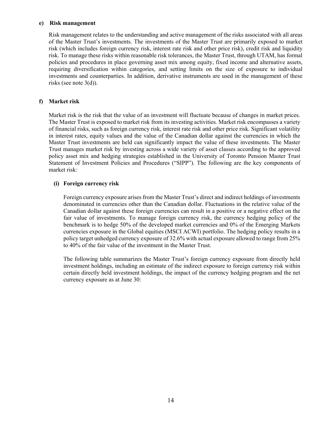#### **e) Risk management**

Risk management relates to the understanding and active management of the risks associated with all areas of the Master Trust's investments. The investments of the Master Trust are primarily exposed to market risk (which includes foreign currency risk, interest rate risk and other price risk), credit risk and liquidity risk. To manage these risks within reasonable risk tolerances, the Master Trust, through UTAM, has formal policies and procedures in place governing asset mix among equity, fixed income and alternative assets, requiring diversification within categories, and setting limits on the size of exposure to individual investments and counterparties. In addition, derivative instruments are used in the management of these risks (see note 3(d)).

#### **f) Market risk**

Market risk is the risk that the value of an investment will fluctuate because of changes in market prices. The Master Trust is exposed to market risk from its investing activities. Market risk encompasses a variety of financial risks, such as foreign currency risk, interest rate risk and other price risk. Significant volatility in interest rates, equity values and the value of the Canadian dollar against the currencies in which the Master Trust investments are held can significantly impact the value of these investments. The Master Trust manages market risk by investing across a wide variety of asset classes according to the approved policy asset mix and hedging strategies established in the University of Toronto Pension Master Trust Statement of Investment Policies and Procedures ("SIPP"). The following are the key components of market risk:

#### **(i) Foreign currency risk**

Foreign currency exposure arises from the Master Trust's direct and indirect holdings of investments denominated in currencies other than the Canadian dollar. Fluctuations in the relative value of the Canadian dollar against these foreign currencies can result in a positive or a negative effect on the fair value of investments. To manage foreign currency risk, the currency hedging policy of the benchmark is to hedge 50% of the developed market currencies and 0% of the Emerging Markets currencies exposure in the Global equities (MSCI ACWI) portfolio. The hedging policy results in a policy target unhedged currency exposure of 32.6% with actual exposure allowed to range from 25% to 40% of the fair value of the investment in the Master Trust.

The following table summarizes the Master Trust's foreign currency exposure from directly held investment holdings, including an estimate of the indirect exposure to foreign currency risk within certain directly held investment holdings, the impact of the currency hedging program and the net currency exposure as at June 30: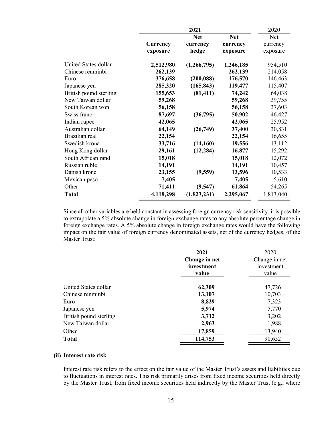|                        |           | 2021        |            | 2020       |
|------------------------|-----------|-------------|------------|------------|
|                        |           | <b>Net</b>  | <b>Net</b> | <b>Net</b> |
|                        | Currency  | currency    | currency   | currency   |
|                        | exposure  | hedge       | exposure   | exposure   |
| United States dollar   | 2,512,980 | (1,266,795) | 1,246,185  | 954,510    |
| Chinese renminbi       | 262,139   |             | 262,139    | 214,058    |
| Euro                   | 376,658   | (200, 088)  | 176,570    | 146,463    |
| Japanese yen           | 285,320   | (165, 843)  | 119,477    | 115,407    |
| British pound sterling | 155,653   | (81, 411)   | 74,242     | 64,038     |
| New Taiwan dollar      | 59,268    |             | 59,268     | 39,755     |
| South Korean won       | 56,158    |             | 56,158     | 37,603     |
| Swiss franc            | 87,697    | (36,795)    | 50,902     | 46,427     |
| Indian rupee           | 42,065    |             | 42,065     | 25,952     |
| Australian dollar      | 64,149    | (26,749)    | 37,400     | 30,831     |
| Brazilian real         | 22,154    |             | 22,154     | 16,655     |
| Swedish krona          | 33,716    | (14, 160)   | 19,556     | 13,112     |
| Hong Kong dollar       | 29,161    | (12, 284)   | 16,877     | 15,292     |
| South African rand     | 15,018    |             | 15,018     | 12,072     |
| Russian ruble          | 14,191    |             | 14,191     | 10,457     |
| Danish krone           | 23,155    | (9, 559)    | 13,596     | 10,533     |
| Mexican peso           | 7,405     |             | 7,405      | 5,610      |
| Other                  | 71,411    | (9, 547)    | 61,864     | 54,265     |
| <b>Total</b>           | 4,118,298 | (1,823,231) | 2,295,067  | 1,813,040  |

Since all other variables are held constant in assessing foreign currency risk sensitivity, it is possible to extrapolate a 5% absolute change in foreign exchange rates to any absolute percentage change in foreign exchange rates. A 5% absolute change in foreign exchange rates would have the following impact on the fair value of foreign currency denominated assets, net of the currency hedges, of the Master Trust:

| 2021          | 2020          |
|---------------|---------------|
| Change in net | Change in net |
| investment    | investment    |
| value         | value         |
|               | 47,726        |
| 13,107        | 10,703        |
| 8,829         | 7,323         |
| 5,974         | 5,770         |
| 3,712         | 3,202         |
| 2,963         | 1,988         |
| 17,859        | 13,940        |
| 114,753       | 90,652        |
|               | 62,309        |

### **(ii) Interest rate risk**

Interest rate risk refers to the effect on the fair value of the Master Trust's assets and liabilities due to fluctuations in interest rates. This risk primarily arises from fixed income securities held directly by the Master Trust, from fixed income securities held indirectly by the Master Trust (e.g., where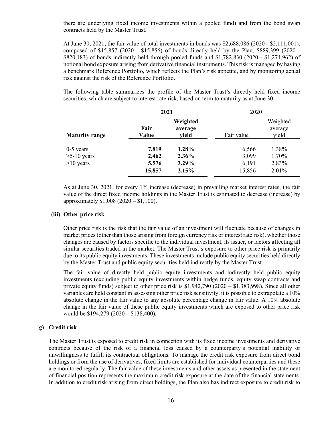there are underlying fixed income investments within a pooled fund) and from the bond swap contracts held by the Master Trust.

At June 30, 2021, the fair value of total investments in bonds was \$2,688,086 (2020 - \$2,111,001), composed of \$15,857 (2020 - \$15,856) of bonds directly held by the Plan, \$889,399 (2020 - \$820,183) of bonds indirectly held through pooled funds and \$1,782,830 (2020 - \$1,274,962) of notional bond exposure arising from derivative financial instruments. This risk is managed by having a benchmark Reference Portfolio, which reflects the Plan's risk appetite, and by monitoring actual risk against the risk of the Reference Portfolio.

The following table summarizes the profile of the Master Trust's directly held fixed income securities, which are subject to interest rate risk, based on term to maturity as at June 30:

|                       | 2021          |                              | 2020       |                              |
|-----------------------|---------------|------------------------------|------------|------------------------------|
| <b>Maturity range</b> | Fair<br>Value | Weighted<br>average<br>vield | Fair value | Weighted<br>average<br>yield |
| $0-5$ years           | 7,819         | 1.28%                        | 6,566      | 1.38%                        |
| $>5-10$ years         | 2,462         | 2.36%                        | 3,099      | 1.70%                        |
| $>10$ years           | 5,576         | 3.29%                        | 6,191      | 2.83%                        |
|                       | 15,857        | 2.15%                        | 15,856     | 2.01%                        |

As at June 30, 2021, for every 1% increase (decrease) in prevailing market interest rates, the fair value of the direct fixed income holdings in the Master Trust is estimated to decrease (increase) by approximately \$1,008 (2020 – \$1,100).

#### **(iii) Other price risk**

Other price risk is the risk that the fair value of an investment will fluctuate because of changes in market prices (other than those arising from foreign currency risk or interest rate risk), whether those changes are caused by factors specific to the individual investment, its issuer, or factors affecting all similar securities traded in the market. The Master Trust's exposure to other price risk is primarily due to its public equity investments. These investments include public equity securities held directly by the Master Trust and public equity securities held indirectly by the Master Trust.

The fair value of directly held public equity investments and indirectly held public equity investments (excluding public equity investments within hedge funds, equity swap contracts and private equity funds) subject to other price risk is \$1,942,790 (2020 – \$1,383,998). Since all other variables are held constant in assessing other price risk sensitivity, it is possible to extrapolate a 10% absolute change in the fair value to any absolute percentage change in fair value. A 10% absolute change in the fair value of these public equity investments which are exposed to other price risk would be \$194,279 (2020 – \$138,400).

#### **g) Credit risk**

The Master Trust is exposed to credit risk in connection with its fixed income investments and derivative contracts because of the risk of a financial loss caused by a counterparty's potential inability or unwillingness to fulfill its contractual obligations. To manage the credit risk exposure from direct bond holdings or from the use of derivatives, fixed limits are established for individual counterparties and these are monitored regularly. The fair value of these investments and other assets as presented in the statement of financial position represents the maximum credit risk exposure at the date of the financial statements. In addition to credit risk arising from direct holdings, the Plan also has indirect exposure to credit risk to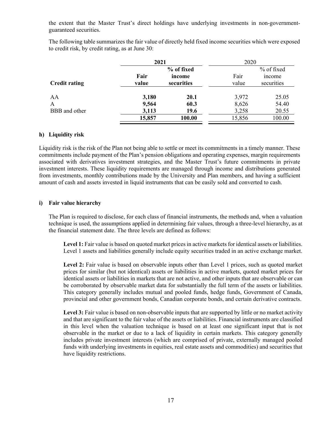the extent that the Master Trust's direct holdings have underlying investments in non-governmentguaranteed securities.

The following table summarizes the fair value of directly held fixed income securities which were exposed to credit risk, by credit rating, as at June 30:

|                      |        | 2021       |        | 2020          |  |
|----------------------|--------|------------|--------|---------------|--|
|                      |        | % of fixed |        | % of fixed    |  |
|                      | Fair   | income     | Fair   | <i>n</i> come |  |
| <b>Credit rating</b> | value  | securities | value  | securities    |  |
|                      |        |            |        |               |  |
| AA                   | 3,180  | 20.1       | 3,972  | 25.05         |  |
| A                    | 9,564  | 60.3       | 8,626  | 54.40         |  |
| BBB and other        | 3,113  | 19.6       | 3,258  | 20.55         |  |
|                      | 15,857 | 100.00     | 15,856 | 100.00        |  |

## **h) Liquidity risk**

Liquidity risk is the risk of the Plan not being able to settle or meet its commitments in a timely manner. These commitments include payment of the Plan's pension obligations and operating expenses, margin requirements associated with derivatives investment strategies, and the Master Trust's future commitments in private investment interests. These liquidity requirements are managed through income and distributions generated from investments, monthly contributions made by the University and Plan members, and having a sufficient amount of cash and assets invested in liquid instruments that can be easily sold and converted to cash.

#### **i) Fair value hierarchy**

The Plan is required to disclose, for each class of financial instruments, the methods and, when a valuation technique is used, the assumptions applied in determining fair values, through a three-level hierarchy, as at the financial statement date. The three levels are defined as follows:

**Level 1:** Fair value is based on quoted market prices in active markets for identical assets or liabilities. Level 1 assets and liabilities generally include equity securities traded in an active exchange market.

Level 2: Fair value is based on observable inputs other than Level 1 prices, such as quoted market prices for similar (but not identical) assets or liabilities in active markets, quoted market prices for identical assets or liabilities in markets that are not active, and other inputs that are observable or can be corroborated by observable market data for substantially the full term of the assets or liabilities. This category generally includes mutual and pooled funds, hedge funds, Government of Canada, provincial and other government bonds, Canadian corporate bonds, and certain derivative contracts.

Level 3: Fair value is based on non-observable inputs that are supported by little or no market activity and that are significant to the fair value of the assets or liabilities. Financial instruments are classified in this level when the valuation technique is based on at least one significant input that is not observable in the market or due to a lack of liquidity in certain markets. This category generally includes private investment interests (which are comprised of private, externally managed pooled funds with underlying investments in equities, real estate assets and commodities) and securities that have liquidity restrictions.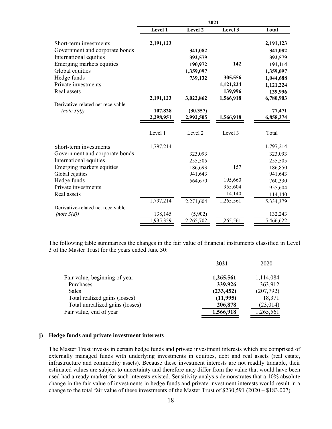|                                   | 2021      |           |           |              |
|-----------------------------------|-----------|-----------|-----------|--------------|
|                                   | Level 1   | Level 2   | Level 3   | <b>Total</b> |
| Short-term investments            | 2,191,123 |           |           | 2,191,123    |
| Government and corporate bonds    |           | 341,082   |           | 341,082      |
| International equities            |           | 392,579   |           | 392,579      |
| Emerging markets equities         |           | 190,972   | 142       | 191,114      |
| Global equities                   |           | 1,359,097 |           | 1,359,097    |
| Hedge funds                       |           | 739,132   | 305,556   | 1,044,688    |
| Private investments               |           |           | 1,121,224 | 1,121,224    |
| Real assets                       |           |           | 139,996   | 139,996      |
|                                   | 2,191,123 | 3,022,862 | 1,566,918 | 6,780,903    |
| Derivative-related net receivable |           |           |           |              |
| (note 3(d))                       | 107,828   | (30, 357) |           | 77,471       |
|                                   | 2,298,951 | 2,992,505 | 1,566,918 | 6,858,374    |
|                                   | Level 1   | Level 2   | Level 3   | Total        |
| Short-term investments            | 1,797,214 |           |           | 1,797,214    |
| Government and corporate bonds    |           | 323,093   |           | 323,093      |
| International equities            |           | 255,505   |           | 255,505      |
| Emerging markets equities         |           | 186,693   | 157       | 186,850      |
| Global equities                   |           | 941,643   |           | 941,643      |
| Hedge funds                       |           | 564,670   | 195,660   | 760,330      |
| Private investments               |           |           | 955,604   | 955,604      |
| Real assets                       |           |           | 114,140   | 114,140      |
|                                   | 1,797,214 | 2,271,604 | 1,265,561 | 5,334,379    |
| Derivative-related net receivable |           |           |           |              |
| (note 3(d))                       | 138,145   | (5,902)   |           | 132,243      |
|                                   | 1,935,359 | 2,265,702 | 1,265,561 | 5,466,622    |

The following table summarizes the changes in the fair value of financial instruments classified in Level 3 of the Master Trust for the years ended June 30:

|                                 | 2021       | 2020      |
|---------------------------------|------------|-----------|
| Fair value, beginning of year   | 1,265,561  | 1,114,084 |
| Purchases                       | 339,926    | 363,912   |
| <b>Sales</b>                    | (233, 452) | (207,792) |
| Total realized gains (losses)   | (11,995)   | 18,371    |
| Total unrealized gains (losses) | 206,878    | (23, 014) |
| Fair value, end of year         | 1,566,918  | 1,265,561 |

#### **j) Hedge funds and private investment interests**

The Master Trust invests in certain hedge funds and private investment interests which are comprised of externally managed funds with underlying investments in equities, debt and real assets (real estate, infrastructure and commodity assets). Because these investment interests are not readily tradable, their estimated values are subject to uncertainty and therefore may differ from the value that would have been used had a ready market for such interests existed. Sensitivity analysis demonstrates that a 10% absolute change in the fair value of investments in hedge funds and private investment interests would result in a change to the total fair value of these investments of the Master Trust of \$230,591 (2020 – \$183,007).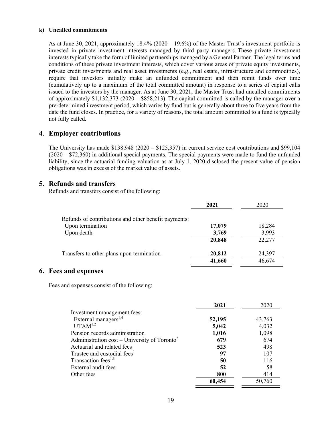#### **k) Uncalled commitments**

As at June 30, 2021, approximately 18.4% (2020 – 19.6%) of the Master Trust's investment portfolio is invested in private investment interests managed by third party managers. These private investment interests typically take the form of limited partnerships managed by a General Partner. The legal terms and conditions of these private investment interests, which cover various areas of private equity investments, private credit investments and real asset investments (e.g., real estate, infrastructure and commodities), require that investors initially make an unfunded commitment and then remit funds over time (cumulatively up to a maximum of the total committed amount) in response to a series of capital calls issued to the investors by the manager. As at June 30, 2021, the Master Trust had uncalled commitments of approximately \$1,132,373 (2020 – \$858,213). The capital committed is called by the manager over a pre-determined investment period, which varies by fund but is generally about three to five years from the date the fund closes. In practice, for a variety of reasons, the total amount committed to a fund is typically not fully called.

# **4**. **Employer contributions**

The University has made  $$138,948$  (2020 –  $$125,357$ ) in current service cost contributions and \$99,104 (2020 – \$72,360) in additional special payments. The special payments were made to fund the unfunded liability, since the actuarial funding valuation as at July 1, 2020 disclosed the present value of pension obligations was in excess of the market value of assets.

# **5. Refunds and transfers**

Refunds and transfers consist of the following:

|                                                      | 2021   | 2020   |
|------------------------------------------------------|--------|--------|
| Refunds of contributions and other benefit payments: |        |        |
| Upon termination                                     | 17,079 | 18,284 |
| Upon death                                           | 3,769  | 3,993  |
|                                                      | 20,848 | 22,277 |
| Transfers to other plans upon termination            | 20,812 | 24,397 |
|                                                      | 41,660 | 46,674 |

# **6. Fees and expenses**

Fees and expenses consist of the following:

|                                                          | 2021   | 2020   |
|----------------------------------------------------------|--------|--------|
| Investment management fees:                              |        |        |
| External managers <sup>1,4</sup>                         | 52,195 | 43,763 |
| $UTAM^{1,2}$                                             | 5,042  | 4,032  |
| Pension records administration                           | 1,016  | 1,098  |
| Administration cost – University of Toronto <sup>2</sup> | 679    | 674    |
| Actuarial and related fees                               | 523    | 498    |
| Trustee and custodial fees <sup>1</sup>                  | 97     | 107    |
| Transaction fees <sup>1,3</sup>                          | 50     | 116    |
| External audit fees                                      | 52     | 58     |
| Other fees                                               | 800    | 414    |
|                                                          | 60,454 | 50,760 |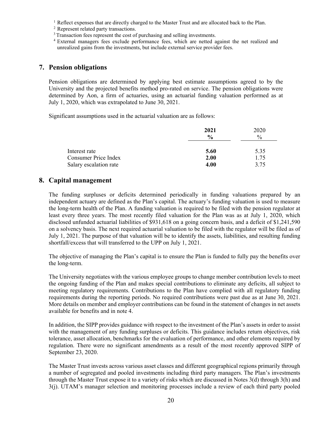<sup>1</sup> Reflect expenses that are directly charged to the Master Trust and are allocated back to the Plan. <sup>2</sup> Represent related party transactions.

<sup>3</sup> Transaction fees represent the cost of purchasing and selling investments.

4 External managers fees exclude performance fees, which are netted against the net realized and unrealized gains from the investments, but include external service provider fees.

# **7. Pension obligations**

Pension obligations are determined by applying best estimate assumptions agreed to by the University and the projected benefits method pro-rated on service. The pension obligations were determined by Aon, a firm of actuaries, using an actuarial funding valuation performed as at July 1, 2020, which was extrapolated to June 30, 2021.

Significant assumptions used in the actuarial valuation are as follows:

|                        | 2021          | 2020          |  |
|------------------------|---------------|---------------|--|
|                        | $\frac{6}{9}$ | $\frac{0}{0}$ |  |
| Interest rate          | 5.60          | 5.35          |  |
| Consumer Price Index   | 2.00          | 1.75          |  |
| Salary escalation rate | 4.00          | 3.75          |  |

# **8. Capital management**

The funding surpluses or deficits determined periodically in funding valuations prepared by an independent actuary are defined as the Plan's capital. The actuary's funding valuation is used to measure the long-term health of the Plan. A funding valuation is required to be filed with the pension regulator at least every three years. The most recently filed valuation for the Plan was as at July 1, 2020, which disclosed unfunded actuarial liabilities of \$931,618 on a going concern basis, and a deficit of \$1,241,590 on a solvency basis. The next required actuarial valuation to be filed with the regulator will be filed as of July 1, 2021. The purpose of that valuation will be to identify the assets, liabilities, and resulting funding shortfall/excess that will transferred to the UPP on July 1, 2021.

The objective of managing the Plan's capital is to ensure the Plan is funded to fully pay the benefits over the long-term.

The University negotiates with the various employee groups to change member contribution levels to meet the ongoing funding of the Plan and makes special contributions to eliminate any deficits, all subject to meeting regulatory requirements. Contributions to the Plan have complied with all regulatory funding requirements during the reporting periods. No required contributions were past due as at June 30, 2021. More details on member and employer contributions can be found in the statement of changes in net assets available for benefits and in note 4.

In addition, the SIPP provides guidance with respect to the investment of the Plan's assets in order to assist with the management of any funding surpluses or deficits. This guidance includes return objectives, risk tolerance, asset allocation, benchmarks for the evaluation of performance, and other elements required by regulation. There were no significant amendments as a result of the most recently approved SIPP of September 23, 2020.

The Master Trust invests across various asset classes and different geographical regions primarily through a number of segregated and pooled investments including third party managers. The Plan's investments through the Master Trust expose it to a variety of risks which are discussed in Notes 3(d) through 3(h) and 3(j). UTAM's manager selection and monitoring processes include a review of each third party pooled